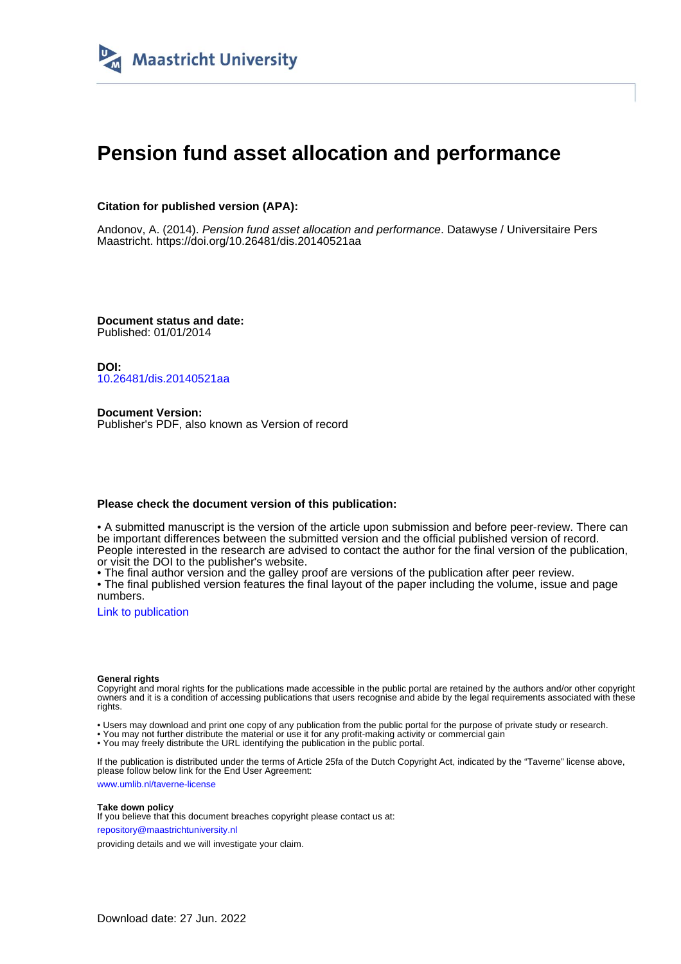

# **Pension fund asset allocation and performance**

### **Citation for published version (APA):**

Andonov, A. (2014). Pension fund asset allocation and performance. Datawyse / Universitaire Pers Maastricht. <https://doi.org/10.26481/dis.20140521aa>

**Document status and date:** Published: 01/01/2014

**DOI:** [10.26481/dis.20140521aa](https://doi.org/10.26481/dis.20140521aa)

**Document Version:** Publisher's PDF, also known as Version of record

#### **Please check the document version of this publication:**

• A submitted manuscript is the version of the article upon submission and before peer-review. There can be important differences between the submitted version and the official published version of record. People interested in the research are advised to contact the author for the final version of the publication, or visit the DOI to the publisher's website.

• The final author version and the galley proof are versions of the publication after peer review.

• The final published version features the final layout of the paper including the volume, issue and page numbers.

[Link to publication](https://cris.maastrichtuniversity.nl/en/publications/a0f6b950-ee62-41cb-961a-447dde2c821b)

#### **General rights**

Copyright and moral rights for the publications made accessible in the public portal are retained by the authors and/or other copyright owners and it is a condition of accessing publications that users recognise and abide by the legal requirements associated with these rights.

• Users may download and print one copy of any publication from the public portal for the purpose of private study or research.

• You may not further distribute the material or use it for any profit-making activity or commercial gain

• You may freely distribute the URL identifying the publication in the public portal.

If the publication is distributed under the terms of Article 25fa of the Dutch Copyright Act, indicated by the "Taverne" license above, please follow below link for the End User Agreement:

www.umlib.nl/taverne-license

#### **Take down policy**

If you believe that this document breaches copyright please contact us at: repository@maastrichtuniversity.nl

providing details and we will investigate your claim.